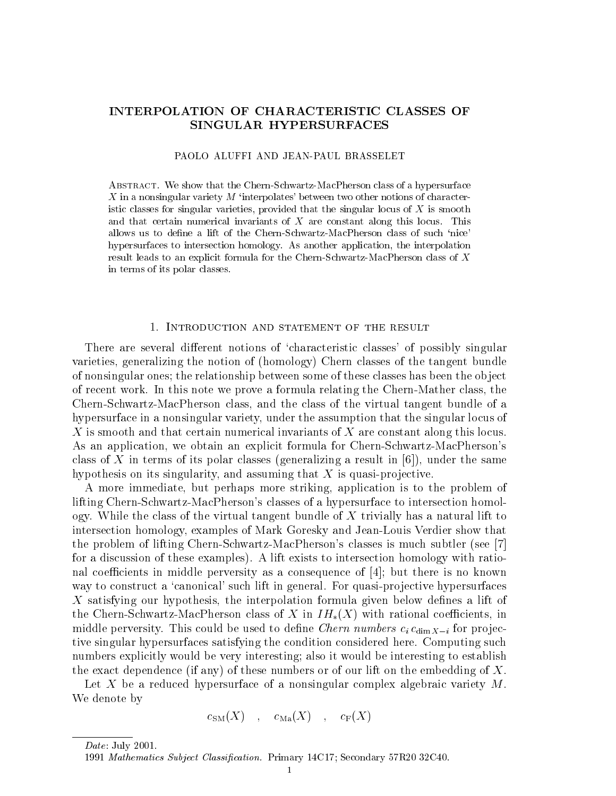# INTERPOLATION OF CHARACTERISTIC CLASSES OF SINGULAR HYPERSURFACES

### PAOLO ALUFFI AND JEAN-PAUL BRASSELET

Abstract. We show that the Chern-Schwartz-MacPherson class of a hypersurface X in a nonsingular variety  $M$  'interpolates' between two other notions of characteristic classes for singular varieties, provided that the singular locus of  $X$  is smooth and that certain numerical invariants of <sup>X</sup> are constant along this locus. This allows us to define a lift of the Chern-Schwartz-MacPherson class of such 'nice' hypersurfaces to intersection homology. As another application, the interpolation result leads to an explicit formula for the Chern-Schwartz-MacPherson class of <sup>X</sup> in terms of its polar classes.

There are several different notions of 'characteristic classes' of possibly singular varieties, generalizing the notion of (homology) Chern classes of the tangent bundle of nonsingular ones; the relationship between some of these classes has been the object of recent work. In this note we prove a formula relating the Chern-Mather class, the Chern-Schwartz-MacPherson class, and the class of the virtual tangent bundle of a hypersurface in a nonsingular variety, under the assumption that the singular locus of X is smooth and that certain numerical invariants of X are constant along this locus. As an application, we obtain an explicit formula for Chern-Schwartz-MacPherson's class of X in terms of its polar classes (generalizing a result in  $[6]$ ), under the same hypothesis on its singularity, and assuming that  $X$  is quasi-projective.

A more immediate, but perhaps more striking, application is to the problem of lifting Chern-Schwartz-MacPherson's classes of a hypersurface to intersection homology. While the class of the virtual tangent bundle of  $X$  trivially has a natural lift to intersection homology, examples of Mark Goresky and Jean-Louis Verdier show that the problem of lifting Chern-Schwartz-MacPherson's classes is much subtler (see [7] for a discussion of these examples). A lift exists to intersection homology with rational coefficients in middle perversity as a consequence of  $|4|$ ; but there is no known way to construct a 'canonical' such lift in general. For quasi-projective hypersurfaces X satisfying our hypothesis, the interpolation formula given below defines a lift of the Chern-Schwartz-MacPherson class of X in  $IH_*(X)$  with rational coefficients, in middle perversity. This could be used to define *Chern numbers*  $c_i c_{\dim X - i}$  for projective singular hypersurfaces satisfying the condition considered here. Computing such numbers explicitly would be very interesting; also it would be interesting to establish the exact dependence (if any) of these numbers or of our lift on the embedding of  $X$ .

Let X be a reduced hypersurface of a nonsingular complex algebraic variety  $M$ .<br>We denote by

$$
c_{\mathrm{SM}}(X) \quad , \quad c_{\mathrm{Ma}}(X) \quad , \quad c_{\mathrm{F}}(X)
$$

Date: July 2001.

<sup>1991</sup> Mathematics Subject Classification. Primary 14C17; Secondary 57R20 32C40.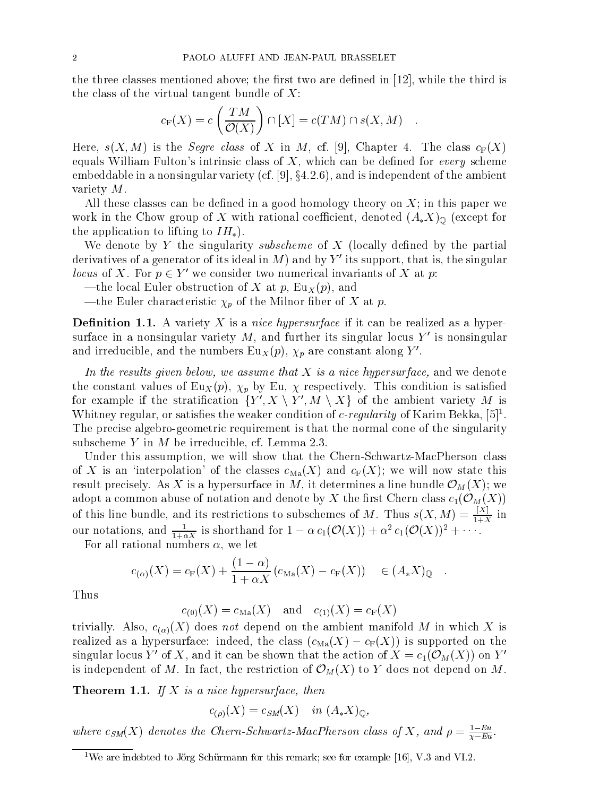the three classes mentioned above; the first two are defined in  $[12]$ , while the third is the class of the virtual tangent bundle of  $X$ :

$$
c_{\mathcal{F}}(X) = c\left(\frac{TM}{\mathcal{O}(X)}\right) \cap [X] = c(TM) \cap s(X, M) .
$$

Here,  $s(X, M)$  is the *Segre class* of X in M, cf. [9], Chapter 4. The class  $c_F(X)$ equals William Fulton's intrinsic class of  $X$ , which can be defined for *every* scheme embeddable in a nonsingular variety (cf.  $[9]$ ,  $\S4.2.6$ ), and is independent of the ambient variety M.

All these classes can be defined in a good homology theory on  $X$ ; in this paper we work in the Chow group of X with rational coefficient, denoted  $(A_*X)_{\mathbb{Q}}$  (except for the application to lifting to  $IH_{*}$ ).

We denote by Y the singularity subscheme of X (locally defined by the partial derivatives of a generator of its ideal in M) and by Y' its support, that is, the singular *locus* of  $\Lambda$ . For  $p \in Y$  we consider two numerical invariants of  $\Lambda$  at  $p$ :

- —the local Euler obstruction of X at p,  $Eu_X (p)$ , and
- —the Euler characteristic  $\chi_p$  of the Milnor fiber of X at p.

**Definition 1.1.** A variety X is a *nice hypersurface* if it can be realized as a hypersurface in a nonsingular variety  $M$ , and further its singular locus  $Y'$  is nonsingular and irreducible, and the numbers  $Eu_X(p)$ ,  $\chi_p$  are constant along Y'.

In the results given below, we assume that  $\Lambda$  is a nice hypersurface, and we denote the constant values of Eu<sub>X</sub> $(p)$ ,  $\chi_p$  by Eu,  $\chi$  respectively. This condition is satisfied for example if the stratification  $\{Y', X \setminus Y', M \setminus X\}$  of the ambient variety M is Whitney regular, or satisfies the weaker condition of c-regularity of Karim Bekka,  $[5]^1$ . The precise algebro-geometric requirement is that the normal cone of the singularity subscheme Y in M be irreducible, cf. Lemma 2.3.

Under this assumption, we will show that the Chern-Schwartz-MacPherson class of X is an 'interpolation' of the classes  $c_{\text{Ma}}(X)$  and  $c_{\text{F}}(X)$ ; we will now state this result precisely. As is a hypersurface in M, it determines a line bundle of the line bundle  $\sim$  W, yet ); we have adopt a common abuse of notation and denote by X the first Chern class  $c_1(\mathcal{O}_M(X))$ of this line bundle, and its restrictions to subschemes of M. Thus  $s(X, M) = \frac{e+Y}{1+X}$  in our notations, and  $\frac{1}{1+\alpha X}$  is shorthand for  $1-\alpha c_1(\mathcal{O}(X))+\alpha^2 c_1(\mathcal{O}(X))^2+\cdots$ .

For all rational numbers  $\alpha$ , we let

$$
c_{(\alpha)}(X) = c_{\mathcal{F}}(X) + \frac{(1-\alpha)}{1+\alpha X} (c_{\mathcal{M}a}(X) - c_{\mathcal{F}}(X)) \in (A_*X)_{\mathbb{Q}}.
$$

Thus

$$
c_{(0)}(X) = c_{\text{Ma}}(X)
$$
 and  $c_{(1)}(X) = c_{\text{F}}(X)$ 

trivially. Also,  $c_{(\alpha)}(X)$  does not depend on the ambient manifold M in which X is realized as a hypersurface: indeed, the class  $(c_{\text{Ma}}(X) - c_F(X))$  is supported on the singular locus Y' of X, and it can be shown that the action of  $X = c_1(\mathcal{O}_M(X))$  on Y' is independent of  $\mathcal{N}$  independent of  $\mathcal{N}$  and  $\mathcal{N}$  of  $\mathcal{N}$  of  $\mathcal{N}$  on  $\mathcal{N}$  does not depend on  $\mathcal{N}$  on  $\mathcal{N}$  on  $\mathcal{N}$  on  $\mathcal{N}$  on  $\mathcal{N}$  on  $\mathcal{N}$  or  $\mathcal{N}$  or  $\mathcal{N}$  or  $\mathcal{N$ 

**Theorem 1.1.** If X is a nice hypersurface, then

 $c_{(\rho)}(X) = c_{SM}(X)$  in  $(A_*X)_{\mathbb{Q}}$ ,

where  $c_{SM}(\lambda)$  denotes the Chern-Schwartz-MacPherson class of  $\lambda$ , and  $\rho = \frac{1}{\gamma - Eu}$ .

<sup>&</sup>lt;sup>1</sup>We are indebted to Jörg Schürmann for this remark; see for example [16], V.3 and VI.2.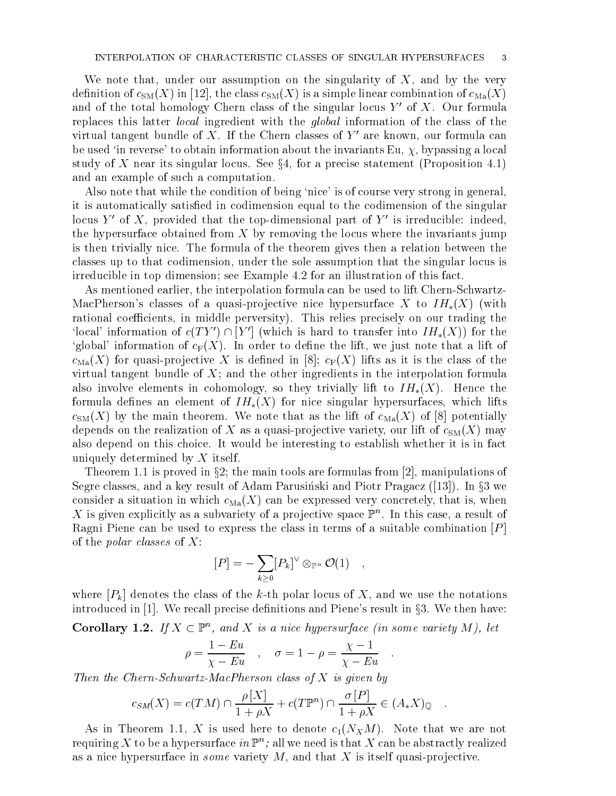We note that, under our assumption on the singularity of  $X$ , and by the very definition of  $c_{SM}(X)$  in [12], the class  $c_{SM}(X)$  is a simple linear combination of  $c_{Ma}(X)$ and of the total homology Chern class of the singular locus  $Y'$  of X. Our formula replaces this latter local ingredient with the global information of the class of the virtual tangent bundle of X. If the Chern classes of  $Y'$  are known, our formula can be used 'in reverse' to obtain information about the invariants Eu,  $\chi$ , bypassing a local study of X near its singular locus. See  $\S 4$ , for a precise statement (Proposition 4.1) and an example of such a computation.

Also note that while the condition of being 'nice' is of course very strong in general, it is automatically satised in codimension equal to the codimension of the singular locus Y' of X, provided that the top-dimensional part of Y' is irreducible: indeed, the hypersurface obtained from  $X$  by removing the locus where the invariants jump is then trivially nice. The formula of the theorem gives then a relation between the classes up to that codimension, under the sole assumption that the singular locus is irreducible in top dimension; see Example 4.2 for an illustration of this fact.

As mentioned earlier, the interpolation formula can be used to lift Chern-Schwartz-MacPherson's classes of a quasi-projective nice hypersurface X to  $IH_*(X)$  (with rational coefficients, in middle perversity). This relies precisely on our trading the 'local' information of  $c(T Y') \cap |Y'|$  (which is hard to transfer into  $IH_*(X)$ ) for the 'global' information of  $c_F(X)$ . In order to define the lift, we just note that a lift of  $c_{\text{Ma}}(X)$  for quasi-projective X is defined in [8];  $c_F(X)$  lifts as it is the class of the virtual tangent bundle of  $X$ ; and the other ingredients in the interpolation formula also involve elements in cohomology, so they trivially lift to  $IH_*(X)$ . Hence the formula defines an element of  $IH_*(X)$  for nice singular hypersurfaces, which lifts  $c<sub>SM</sub>(X)$  by the main theorem. We note that as the lift of  $c<sub>Ma</sub>(X)$  of [8] potentially depends on the realization of X as a quasi-projective variety, our lift of  $c_{SM}(X)$  may also depend on this choice. It would be interesting to establish whether it is in fact uniquely determined by X itself.

Theorem 1.1 is proved in §2; the main tools are formulas from [2], manipulations of Segre classes, and a key result of Adam Parusinski and Piotr Pragacz ([13]). In  $\S 3$  we consider a situation in which  $c_{Ma}(X)$  can be expressed very concretely, that is, when  $\Lambda$  is given explicitly as a subvariety of a projective space  $\mathbb{F}^n.$  In this case, a result of Ragni Piene can be used to express the class in terms of a suitable combination  $[P]$ of the *polar classes* of  $X$ :

$$
[P] = - \sum_{k \geq 0} [P_k]^{\vee} \otimes_{\mathbb{P}^n} \mathcal{O}(1) \quad ,
$$

where  $[P_k]$  denotes the class of the k-th polar locus of X, and we use the notations introduced in  $[1]$ . We recall precise definitions and Piene's result in §3. We then have:

**Corollary 1.2.** If  $A \subseteq \mathbb{P}$ , and  $A$  is a nice hypersurface (in some variety M), let

$$
\rho = \frac{1 - Eu}{\chi - Eu} \quad , \quad \sigma = 1 - \rho = \frac{\chi - 1}{\chi - Eu} \quad .
$$

Then the Chern-Schwartz-MacPherson class of  $X$  is given by

$$
c_{SM}(X) = c(TM) \cap \frac{\rho[X]}{1 + \rho X} + c(T\mathbb{P}^n) \cap \frac{\sigma[P]}{1 + \rho X} \in (A_*X)_{\mathbb{Q}}.
$$

As in Theorem 1.1, X is used here to denote  $c_1(N_XM)$ . Note that we are not requiring  $\Lambda$  to be a hypersurface  $\imath n$  Per ; all we need is that  $\Lambda$  can be abstractly realized as a nice hypersurface in *some* variety  $M$ , and that  $X$  is itself quasi-projective.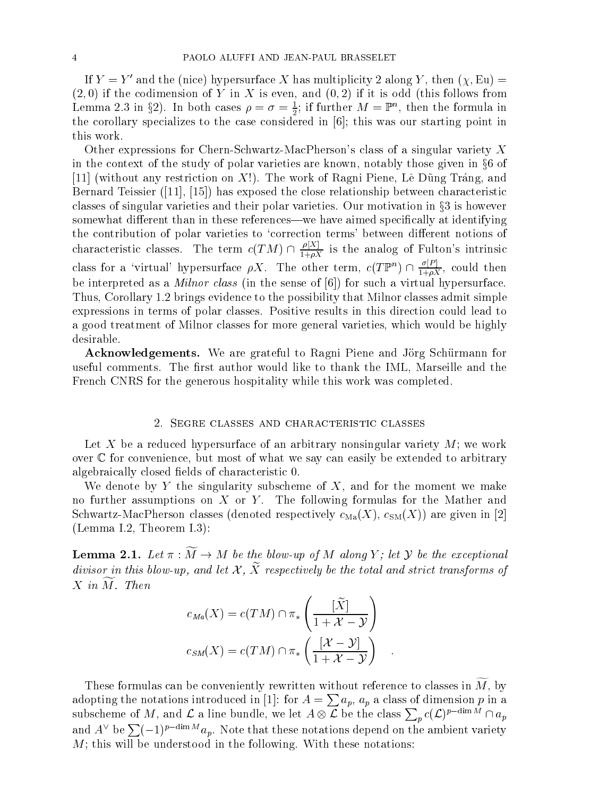If  $Y = Y'$  and the (nice) hypersurface X has multiplicity 2 along Y, then  $(\chi, Eu)$  =  $(2,0)$  if the codimension of Y in X is even, and  $(0,2)$  if it is odd (this follows from Lemma 2.3 in §2). In both cases  $\rho = \sigma = \frac{1}{2}$ ; if further  $M = \mathbb{P}^n$ , then the formula in the corollary specializes to the corollary specializes to the case considered in  $\mathcal{N}$  , this was our starting point in  $\mathcal{N}$ this work.

Other expressions for Chern-Schwartz-MacPherson's class of a singular variety X in the context of the study of polar varieties are known, notably those given in  $\S 6$  of [11] (without any restriction on X!). The work of Ragni Piene, Lê Dũng Tráng, and Bernard Teissier ([11], [15]) has exposed the close relationship between characteristic classes of singular varieties and their polar varieties. Our motivation in  $\Omega$  is however  $\Omega$  is however  $\Omega$ somewhat different than in these references—we have aimed specifically at identifying the contribution of polar varieties to 'correction terms' between different notions of characteristic classes. The term  $c(TM) \cap \frac{\mu_{\Delta}}{1+\rho X}$  is the analog of Fulton's intrinsic class for a 'virtual' hypersurface  $\rho X$ . The other term,  $c(T\mathbb{P}^n) \cap \frac{\partial [F]}{1+\rho X}$ , could then be interpreted as a *Milnor class* (in the sense of  $[6]$ ) for such a virtual hypersurface. Thus, Corollary 1.2 brings evidence to the possibility that Milnor classes admit simple expressions in terms of polar classes. Positive results in this direction could lead to a good treatment of Milnor classes for more general varieties, which would be highly desirable.

Acknowledgements. We are grateful to Ragni Piene and Jörg Schürmann for useful comments. The first author would like to thank the IML, Marseille and the French CNRS for the generous hospitality while this work was completed.

# 2. SEGRE CLASSES AND CHARACTERISTIC CLASSES

Let X be a reduced hypersurface of an arbitrary nonsingular variety  $M$ ; we work over <sup>C</sup> for convenience, but most of what we say can easily be extended to arbitrary algebraically closed fields of characteristic 0.

We denote by Y the singularity subscheme of  $X$ , and for the moment we make no further assumptions on  $X$  or  $Y$ . The following formulas for the Mather and Schwartz-MacPherson classes (denoted respectively  $c_{\text{Ma}}(X)$ ,  $c_{\text{SM}}(X)$ ) are given in [2] (Lemma I.2, Theorem I.3):

**Lemma 2.1.** Let  $\kappa$  .  $M \rightarrow M$  be the blow-up of  $M$  along  $I$  ; let  $\mathcal Y$  be the exceptional  $a$ ivisor in this blow-up, and let  $\alpha$  ,  $\alpha$  respectively be the total and strict transforms of  $X$  in  $M$ . Then

$$
c_{Ma}(X) = c(TM) \cap \pi_* \left( \frac{[\widetilde{X}]}{1 + \mathcal{X} - \mathcal{Y}} \right)
$$
  

$$
c_{SM}(X) = c(TM) \cap \pi_* \left( \frac{[\mathcal{X} - \mathcal{Y}]}{1 + \mathcal{X} - \mathcal{Y}} \right)
$$

These formulas can be conveniently rewritten without reference to classes in  $\widetilde{M}$ , by adopting the notations introduced in [1]: for  $A = \sum a_n$ ,  $a_n$  a class of dimension p in a subscheme of M, and L a line bundle, we let  $\mathcal{A}$  $\mathcal L$  be the class  $\sum_p c(\mathcal L)^{p-\dim M} \cap a_p$ <br>ions depend on the ambient variety  $p^c(\mathcal{L})^r$  and  $a_p$ and  $A^{\vee}$  be  $\sum (-1)^{p-\dim M} a_p$ . Note that these notations depend on the ambient variety  $M$ ; this will be understood in the following. With these notations: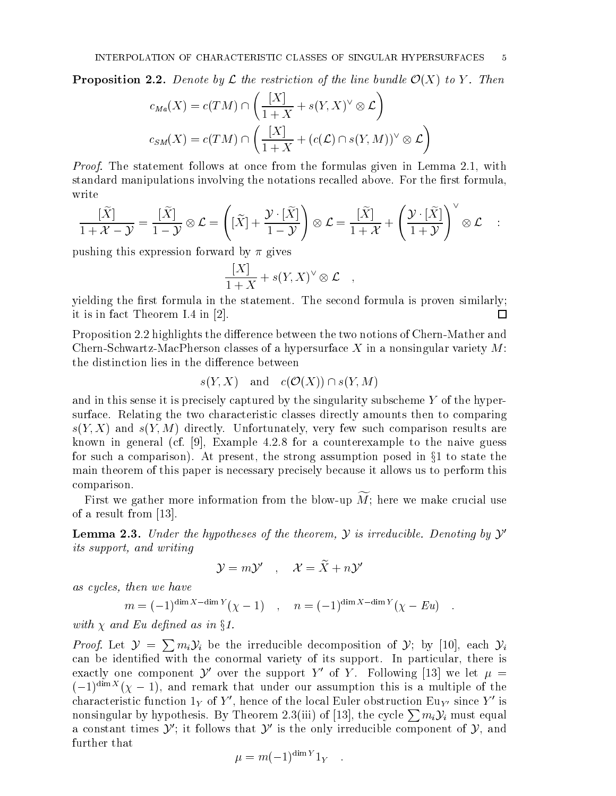**Proposition 2.2.** Denote by L the restriction of the time bundle  $\mathcal{O}(X)$  to  $\mathcal{I}$ . Then

$$
c_{Ma}(X) = c(TM) \cap \left(\frac{[X]}{1+X} + s(Y,X)^{\vee} \otimes \mathcal{L}\right)
$$
  

$$
c_{SM}(X) = c(TM) \cap \left(\frac{[X]}{1+X} + (c(\mathcal{L}) \cap s(Y,M))^{\vee} \otimes \mathcal{L}\right)
$$

Proof. The statement follows at once from the formulas given in Lemma 2.1, with standard manipulations involving the notations recalled above. For the first formula, write

$$
\frac{[\widetilde{X}]}{1+\mathcal{X}-\mathcal{Y}} = \frac{[\widetilde{X}]}{1-\mathcal{Y}} \otimes \mathcal{L} = \left( [\widetilde{X}] + \frac{\mathcal{Y} \cdot [\widetilde{X}]}{1-\mathcal{Y}} \right) \otimes \mathcal{L} = \frac{[\widetilde{X}]}{1+\mathcal{X}} + \left( \frac{\mathcal{Y} \cdot [\widetilde{X}]}{1+\mathcal{Y}} \right)^{\vee} \otimes \mathcal{L} \quad :
$$
\npushing this expression forward by  $\pi$  gives

$$
\frac{[X]}{1+X} + s(Y,X)^{\vee} \otimes \mathcal{L} \quad ,
$$

yielding the first formula in the statement. The second formula is proven similarly; it is in fact Theorem I.4 in [2].  $\Box$ 

Proposition 2.2 highlights the difference between the two notions of Chern-Mather and Chern-Schwartz-MacPherson classes of a hypersurface X in a nonsingular variety  $M$ : the distinction lies in the difference between

$$
s(Y, X)
$$
 and  $c(\mathcal{O}(X)) \cap s(Y, M)$ 

and in this sense it is precisely captured by the singularity subscheme  $Y$  of the hypersurface. Relating the two characteristic classes directly amounts then to comparing  $s(Y, X)$  and  $s(Y, M)$  directly. Unfortunately, very few such comparison results are known in general (cf. [9], Example 4.2.8 for a counterexample to the naive guess for such a comparison). At present, the strong assumption posed in  $\S1$  to state the main theorem of this paper is necessary precisely because it allows us to perform this comparison.

First we gather more information from the blow-up  $\widetilde{M}$ ; here we make crucial use of a result from [13].

 ${\bf L}$ emma 2.3. Under the hypotheses of the theorem,  ${\bf y}$  is irreducible. Denoting by  ${\bf y}$ its support, and writing

$$
\mathcal{Y}=m\mathcal{Y}'\quad,\quad \mathcal{X}=\widetilde{X}+n\mathcal{Y}'
$$

as cycles, then we have computed to the contract of the contract of the contract of the contract of the contract of

$$
m = (-1)^{\dim X - \dim Y} (\chi - 1) , \quad n = (-1)^{\dim X - \dim Y} (\chi - Eu) .
$$

with  $\Lambda$  when  $\Xi$  we as joint to the site  $\Lambda$ .

*Proof.* Let  $\mathcal{Y} = \sum m_i \mathcal{Y}_i$  be the irreducible decomposition of  $\mathcal{Y}$ ; by [10], each  $\mathcal{Y}_i$ can be identied with the conormal variety of its support. In particular, there is exactly one component  $\mathcal Y$  over the support Y of Y. Following [15] we let  $\mu$   $=$  $(1,1)$  and remark that under our assumption this is a multiple of the  $(-1)^{n+m+1}$ characteristic function  $1_Y$  of Y', hence of the local Euler obstruction Eu<sub>Y'</sub> since Y' is nonsingular by hypothesis. By Theorem 2.3(iii) of [13], the cycle  $\sum m_i \mathcal{Y}_i$  must equal a constant times  $y$  ; it follows that  $y$  is the only irreducible component of  $y,$  and further that

$$
\mu = m(-1)^{\dim Y} 1_Y \quad .
$$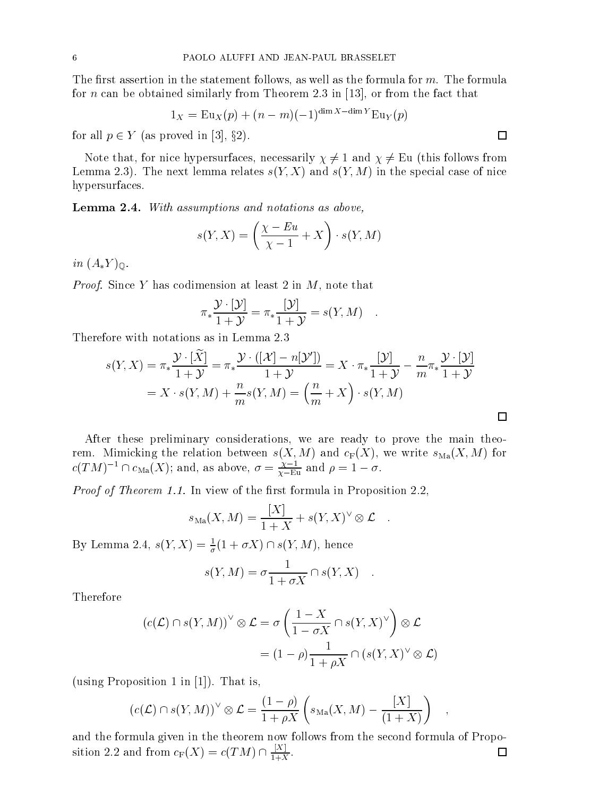The first assertion in the statement follows, as well as the formula for  $m$ . The formula for *n* can be obtained similarly from Theorem 2.3 in [13], or from the fact that

$$
1_X = \mathrm{Eu}_X(p) + (n-m)(-1)^{\dim X - \dim Y} \mathrm{Eu}_Y(p)
$$

for all p 2 <sup>Y</sup> (as proved in [3], x2).

Note that, for nice hypersurfaces, necessarily  $\chi \neq 1$  and  $\chi \neq \mathrm{Eu}$  (this follows from Lemma 2.3). The next lemma relates  $s(Y, X)$  and  $s(Y, M)$  in the special case of nice hypersurfaces.

Lemma 2.4. With assumptions and notations as above,

$$
s(Y, X) = \left(\frac{\chi - Eu}{\chi - 1} + X\right) \cdot s(Y, M)
$$

 $\cdots$  ( $-\rightarrow$  $\cdots$ )

 $\mathcal{L}$  , supply to an at least 2 in M, note that  $\mathcal{L}$  is that  $\mathcal{L}$  in M, note that  $\mathcal{L}$ 

$$
\pi_* \frac{\mathcal{Y} \cdot [\mathcal{Y}]}{1 + \mathcal{Y}} = \pi_* \frac{[\mathcal{Y}]}{1 + \mathcal{Y}} = s(Y, M) \quad .
$$

Therefore with notations as in Lemma 2.3

$$
s(Y, X) = \pi_* \frac{\mathcal{Y} \cdot [X]}{1 + \mathcal{Y}} = \pi_* \frac{\mathcal{Y} \cdot ([\mathcal{X}] - n[\mathcal{Y}'])}{1 + \mathcal{Y}} = X \cdot \pi_* \frac{[\mathcal{Y}]}{1 + \mathcal{Y}} - \frac{n}{m} \pi_* \frac{\mathcal{Y} \cdot [\mathcal{Y}]}{1 + \mathcal{Y}}
$$

$$
= X \cdot s(Y, M) + \frac{n}{m} s(Y, M) = \left(\frac{n}{m} + X\right) \cdot s(Y, M)
$$

After these preliminary considerations, we are ready to prove the main theorem. Mimicking the relation between  $s(X, M)$  and  $c_F(X)$ , we write  $s_{Ma}(X, M)$  for  $c(I/M)^{-1} \sqcup c_{\text{Ma}}(X)$ ; and, as above,  $\sigma = \frac{1}{Y - E^u}$  and  $\rho = 1 - \sigma$ .

 $\mathcal{L}$  ,  $\mathcal{L}(\mathcal{L})$  ,  $\mathcal{L}(\mathcal{L})$  ,  $\mathcal{L}(\mathcal{L})$  in an order  $\mathcal{L}(\mathcal{L})$  . The set of the set of the set of the set of the set of the set of the set of the set of the set of the set of the set of the set of

$$
s_{\text{Ma}}(X, M) = \frac{[X]}{1+X} + s(Y, X)^{\vee} \otimes \mathcal{L} .
$$

By Lemma 2.4,  $s(Y, \Lambda) = \frac{1}{\sigma}(1 + \sigma \Lambda) \cap s(Y, M)$ , hence

$$
s(Y, M) = \sigma \frac{1}{1 + \sigma X} \cap s(Y, X) .
$$

Therefore

$$
(c(\mathcal{L}) \cap s(Y, M))^{\vee} \otimes \mathcal{L} = \sigma \left( \frac{1 - X}{1 - \sigma X} \cap s(Y, X)^{\vee} \right) \otimes \mathcal{L}
$$

$$
= (1 - \rho) \frac{1}{1 + \rho X} \cap (s(Y, X)^{\vee} \otimes \mathcal{L})
$$

(using Proposition 1 in [1]). That is,

$$
(c(\mathcal{L}) \cap s(Y, M))^{\vee} \otimes \mathcal{L} = \frac{(1 - \rho)}{1 + \rho X} \left( s_{\text{Ma}}(X, M) - \frac{[X]}{(1 + X)} \right) ,
$$

and the formula given in the theorem now follows from the second formula of Propo- $\Box$ sition 2.2 and from  $c_F(X) = c(TM) \cap \frac{1+Y}{1+X}$ .

 $\Box$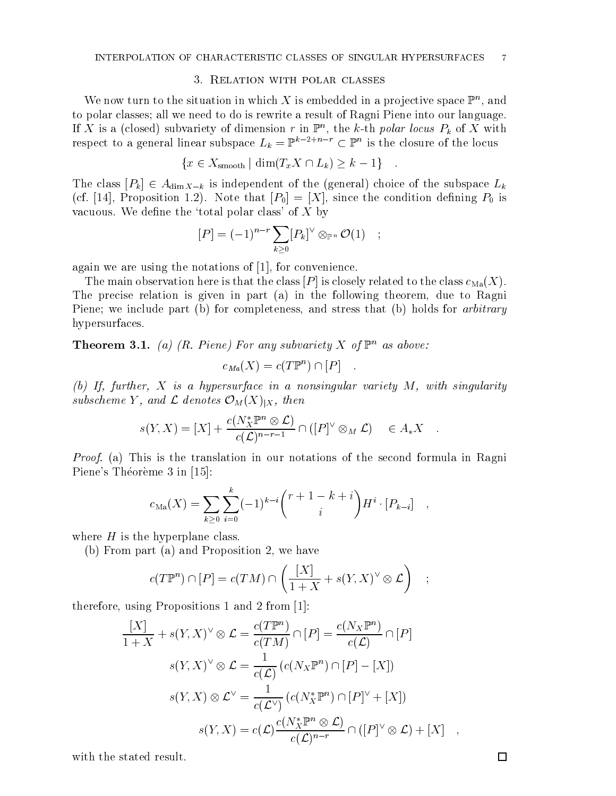We now turn to the situation in which  $\Lambda$  is embedded in a projective space  $\mathbb F$  , and to polar classes; all we need to do is rewrite a result of Ragni Piene into our language. If  $X$  is a (closed) subvariety of dimension r in F<sub>n</sub>, the k-th polar locus  $P_k$  of  $X$  with respect to a general linear subspace  $L_k = \mathbb{F}^{n+1}$  and  $\mathbb{C}^n$  is the closure of the locus

$$
\{x \in X_{\text{smooth}} \mid \dim(T_x X \cap L_k) \geq k - 1\}.
$$

The class  $[P_k] \in A_{\dim X-k}$  is independent of the (general) choice of the subspace  $L_k$ (cf. [14], Proposition 1.2). Note that  $[P_0] = [X]$ , since the condition defining  $P_0$  is vacuous. We define the 'total polar class' of  $X$  by

$$
[P] = (-1)^{n-r} \sum_{k \geq 0} [P_k]^{\vee} \otimes_{\mathbb{P}^n} \mathcal{O}(1) \quad ;
$$

again we are using the notations of [1], for convenience.

The main observation here is that the class  $[P]$  is closely related to the class  $c_{\text{Ma}}(X)$ . The precise relation is given in part (a) in the following theorem, due to Ragni Piene; we include part (b) for completeness, and stress that (b) holds for *arbitrary* hypersurfaces.

**Theorem 3.1.** (a) (R. Piene) For any subvariety X of  $\mathbb{P}^n$  as above:

$$
c_{Ma}(X) = c(T\mathbb{P}^n) \cap [P] \quad .
$$

(b) If, further, X is <sup>a</sup> hypersurface in <sup>a</sup> nonsingular variety M, with singularity subscheme  $\blacktriangleright$  and  $\blacktriangleright$  associates  $\blacktriangleright$   $\mathcal{N}$  (x  $\blacktriangleright$  11  $\lambda$  ) shows

$$
s(Y, X) = [X] + \frac{c(N_X^* \mathbb{P}^n \otimes \mathcal{L})}{c(\mathcal{L})^{n-r-1}} \cap ([P]^\vee \otimes_M \mathcal{L}) \in A_*X .
$$

Proof. (a) This is the translation in our notations of the second formula in Ragni Piene's Théorème 3 in [15]:

$$
c_{\text{Ma}}(X) = \sum_{k \geq 0} \sum_{i=0}^{k} (-1)^{k-i} {r+1-k+i \choose i} H^i \cdot [P_{k-i}] ,
$$

where  $H$  is the hyperplane class.

(b) From part (a) and Proposition 2, we have

$$
c(T\mathbb{P}^n) \cap [P] = c(TM) \cap \left(\frac{[X]}{1+X} + s(Y,X)^{\vee} \otimes \mathcal{L}\right) \quad ;
$$

therefore, using Propositions 1 and 2 from [1]:

$$
\frac{[X]}{1+X} + s(Y, X)^{\vee} \otimes \mathcal{L} = \frac{c(T\mathbb{P}^n)}{c(TM)} \cap [P] = \frac{c(N_X\mathbb{P}^n)}{c(\mathcal{L})} \cap [P]
$$

$$
s(Y, X)^{\vee} \otimes \mathcal{L} = \frac{1}{c(\mathcal{L})} (c(N_X\mathbb{P}^n) \cap [P] - [X])
$$

$$
s(Y, X) \otimes \mathcal{L}^{\vee} = \frac{1}{c(\mathcal{L}^{\vee})} (c(N_X^*\mathbb{P}^n) \cap [P]^{\vee} + [X])
$$

$$
s(Y, X) = c(\mathcal{L}) \frac{c(N_X^*\mathbb{P}^n \otimes \mathcal{L})}{c(\mathcal{L})^{n-r}} \cap ([P]^{\vee} \otimes \mathcal{L}) + [X] ,
$$

with the stated result.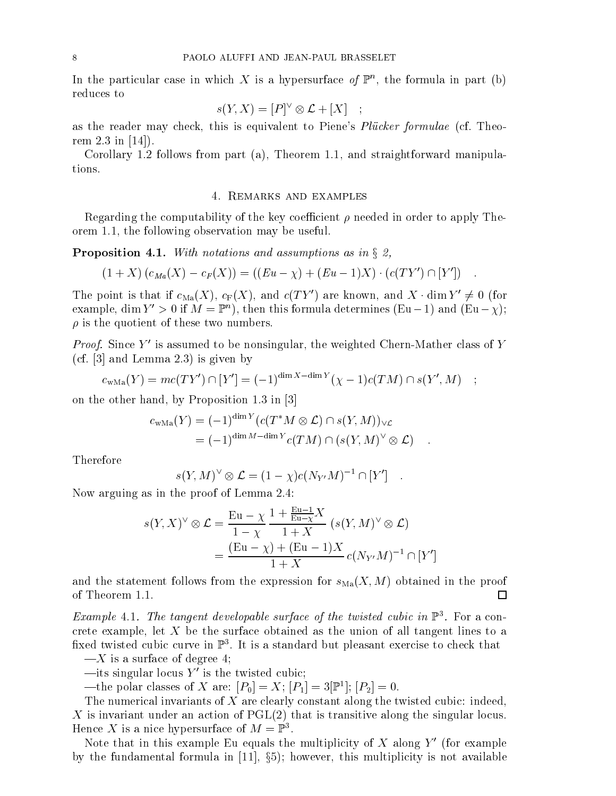In the particular case in which  $\Lambda$  is a hypersurface  $\theta$   $\mathbb{P}^n$ , the formula in part (b) reduces to

$$
s(Y, X) = [P]^\vee \otimes \mathcal{L} + [X]
$$

as the reader may check, this is equivalent to Piene's *Plücker formulae* (cf. Theorem 2.3 in [14]).

Corollary 1.2 follows from part (a), Theorem 1.1, and straightforward manipulations.

## 4. REMARKS AND EXAMPLES

Regarding the computability of the key coefficient  $\rho$  needed in order to apply Theorem 1.1, the following observation may be useful.

Proposition 4.1. With notations and assumptions as in x2,

$$
(1+X)(c_{Ma}(X) - c_F(X)) = ((Eu - \chi) + (Eu - 1)X) \cdot (c(TY') \cap [Y'])
$$

The point is that if  $c_{\text{Ma}}(X)$ ,  $c_F(X)$ , and  $c(TY')$  are known, and  $X \cdot \dim Y' \neq 0$  (for example,  $\dim I \to 0$  if  $M \equiv \mathbb{F}$  ), then this formula determines (Eu – 1) and (Eu –  $\chi$ );  $\rho$  is the quotient of these two numbers.

*Proof.* Since Y is assumed to be nonsingular, the weighted Chern-Mather class of Y (cf. [3] and Lemma 2.3) is given by

$$
c_{\text{wMa}}(Y) = mc(TY') \cap [Y'] = (-1)^{\dim X - \dim Y} (\chi - 1)c(TM) \cap s(Y', M) ;
$$

on the other hand, by Proposition 1.3 in [3]

$$
c_{\text{wMa}}(Y) = (-1)^{\dim Y} (c(T^*M \otimes \mathcal{L}) \cap s(Y, M))_{\vee \mathcal{L}}
$$
  
=  $(-1)^{\dim M - \dim Y} c(TM) \cap (s(Y, M)^{\vee} \otimes \mathcal{L})$ .

Therefore

$$
s(Y, M)^{\vee} \otimes \mathcal{L} = (1 - \chi)c(N_{Y'}M)^{-1} \cap [Y'] \quad .
$$

Now arguing as in the proof of Lemma 2.4:

$$
s(Y, X)^{\vee} \otimes \mathcal{L} = \frac{\operatorname{Eu} - \chi}{1 - \chi} \frac{1 + \frac{\operatorname{Eu} - 1}{\operatorname{Eu} - \chi} X}{1 + X} (s(Y, M)^{\vee} \otimes \mathcal{L})
$$
  
= 
$$
\frac{(\operatorname{Eu} - \chi) + (\operatorname{Eu} - 1)X}{1 + X} c(N_{Y'}M)^{-1} \cap [Y']
$$

and the statement follows from the expression for  $s_{\text{Ma}}(X,M)$  obtained in the proof of Theorem 1.1.  $\Box$ 

Example 4.1. The tangent aevelopable surface of the twisted cubic in  $\mathbb{F}^{\ast}$ . For a concrete example, let  $X$  be the surface obtained as the union of all tangent lines to a iixed twisted cubic curve in F3. It is a standard but pleasant exercise to check that

 $-X$  is a surface of degree 4;

 $\rightarrow$  its singular locus Y' is the twisted cubic;

—the polar classes of  $\Lambda$  are:  $|P_0| = \Lambda$ ;  $|P_1| = 3|$   $\mathbb{F}$ ;  $|P_2| = 0$ .

The numerical invariants of  $X$  are clearly constant along the twisted cubic: indeed, X is invariant under an action of  $PGL(2)$  that is transitive along the singular locus. Hence  $\Lambda$  is a nice hypersurface of  $M = \mathbb{F}^3$ .

Note that in this example Eu equals the multiplicity of X along  $Y'$  (for example by the fundamental formula in  $\tau$  ,  $\tau$  ,  $\tau$  ,  $\tau$  , this multiplicity is not available.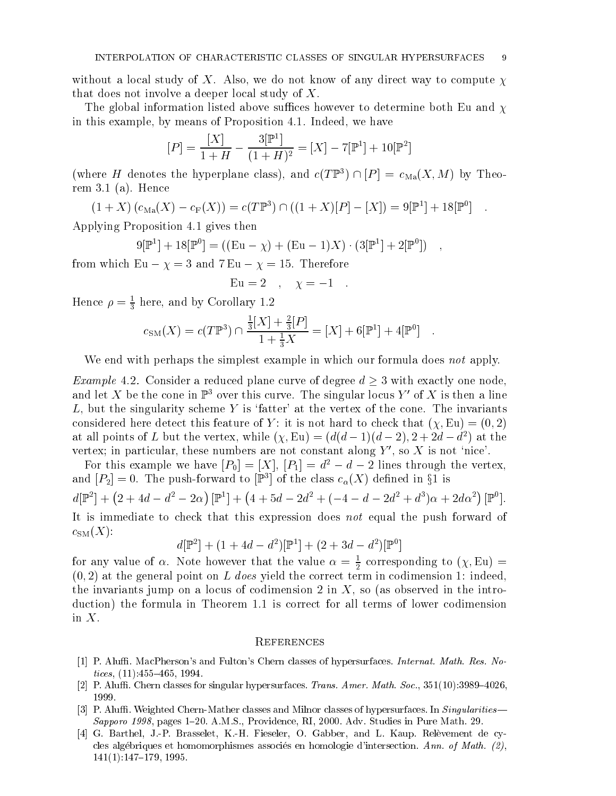without a local study of X. Also, we do not know of any direct way to compute  $\chi$ that does not involve a deeper local study of X.

The global information listed above suffices however to determine both Eu and  $\chi$ in this example, by means of Proposition 4.1. Indeed, we have

$$
[P] = \frac{[X]}{1+H} - \frac{3[\mathbb{P}^1]}{(1+H)^2} = [X] - 7[\mathbb{P}^1] + 10[\mathbb{P}^2]
$$

(where  $H$  denotes the hyperplane class), and  $c(T \ F^*) \cap [P] = c_{\text{Ma}}(X,M)$  by Theorem 3.1 (a). Hence

$$
(1+X)(c_{\text{Ma}}(X) - c_{\text{F}}(X)) = c(T\mathbb{P}^{3}) \cap ((1+X)[P] - [X]) = 9[\mathbb{P}^{1}] + 18[\mathbb{P}^{0}] .
$$

Applying Proposition 4.1 gives then

$$
9[\mathbb{P}^1] + 18[\mathbb{P}^0] = ((Eu - \chi) + (Eu - 1)X) \cdot (3[\mathbb{P}^1] + 2[\mathbb{P}^0]) ,
$$

from which Eu = 3 and 7 Eu = 15. Therefore

$$
Eu = 2 \quad , \quad \chi = -1 \quad .
$$

Hence  $\rho = \frac{2}{3}$  here, and by Corollary 1.2

$$
c_{\rm SM}(X) = c(T\mathbb{P}^3) \cap \frac{\frac{1}{3}[X] + \frac{2}{3}[P]}{1 + \frac{1}{3}X} = [X] + 6[\mathbb{P}^1] + 4[\mathbb{P}^0] .
$$

We end with perhaps the simplest example in which our formula does not apply.

Example 4.2. Consider a reduced plane curve of degree d 3 with exactly one node, and let X be the cone in  $\mathbb{P}^3$  over this curve. The singular locus Y' of X is then a line  $L$ , but the singularity scheme Y is 'fatter' at the vertex of the cone. The invariants considered here detect this feature of Y: it is not hard to check that  $(\chi, Eu) = (0, 2)$ at all points of L but the vertex, while  $(\chi, \texttt{Eu}) = (a(a - 1)(a - 2), 2 + 2a - a^2)$  at the vertex; in particular, these numbers are not constant along  $Y'$ , so X is not 'nice'.

For this example we have  $[P_0] = [X], [P_1] = d^2 - d - 2$  lines through the vertex, and  $|P_2| = 0$ . The push-forward to  $|\mathbb{F}^*|$  of the class  $c_{\alpha}(\Lambda)$  defined in  $\S$ 1 is  $d\mathbb{P}^2 + (2+4d-d^2-2\alpha)\mathbb{P}^1 + (4$  $\int [\mathbb{P}^{1}] + (4+5d-2d^{2}+(-4-d-2d^{2}+d^{3})\alpha+2d\alpha^{2})$  [ $\mathbb{P}^{0}$ ]. It is immediate to check that this expression does not equal the push forward of  $c_{\text{SM}}(X)$ :

$$
d[\mathbb{P}^2] + (1 + 4d - d^2)[\mathbb{P}^1] + (2 + 3d - d^2)[\mathbb{P}^0]
$$

for any value of  $\alpha$ . Note however that the value  $\alpha = \frac{1}{2}$  corresponding to  $(\chi, \text{Eu}) =$  $(0, 2)$  at the general point on L does yield the correct term in codimension 1: indeed, the invariants jump on a locus of codimension 2 in  $X$ , so (as observed in the introduction) the formula in Theorem 1.1 is correct for all terms of lower codimension in  $X$ .

# **REFERENCES**

- [1] P. Aluffi. MacPherson's and Fulton's Chern classes of hypersurfaces. Internat. Math. Res. Notices,  $(11)$ : 455-465, 1994.
- [2] P. Aluffi. Chern classes for singular hypersurfaces. Trans. Amer. Math. Soc.,  $351(10):3989{-}4026$ . 1999.
- [3] P. Aluffi. Weighted Chern-Mather classes and Milnor classes of hypersurfaces. In Singularities Sapporo 1998, pages  $1{\text -}20$ . A.M.S., Providence, RI, 2000. Adv. Studies in Pure Math. 29.
- [4] G. Barthel, J.-P. Brasselet, K.-H. Fieseler, O. Gabber, and L. Kaup. Relevement de cycles algébriques et homomorphismes associés en homologie d'intersection. Ann. of Math.  $(2)$ ,  $141(1):147–179, 1995.$